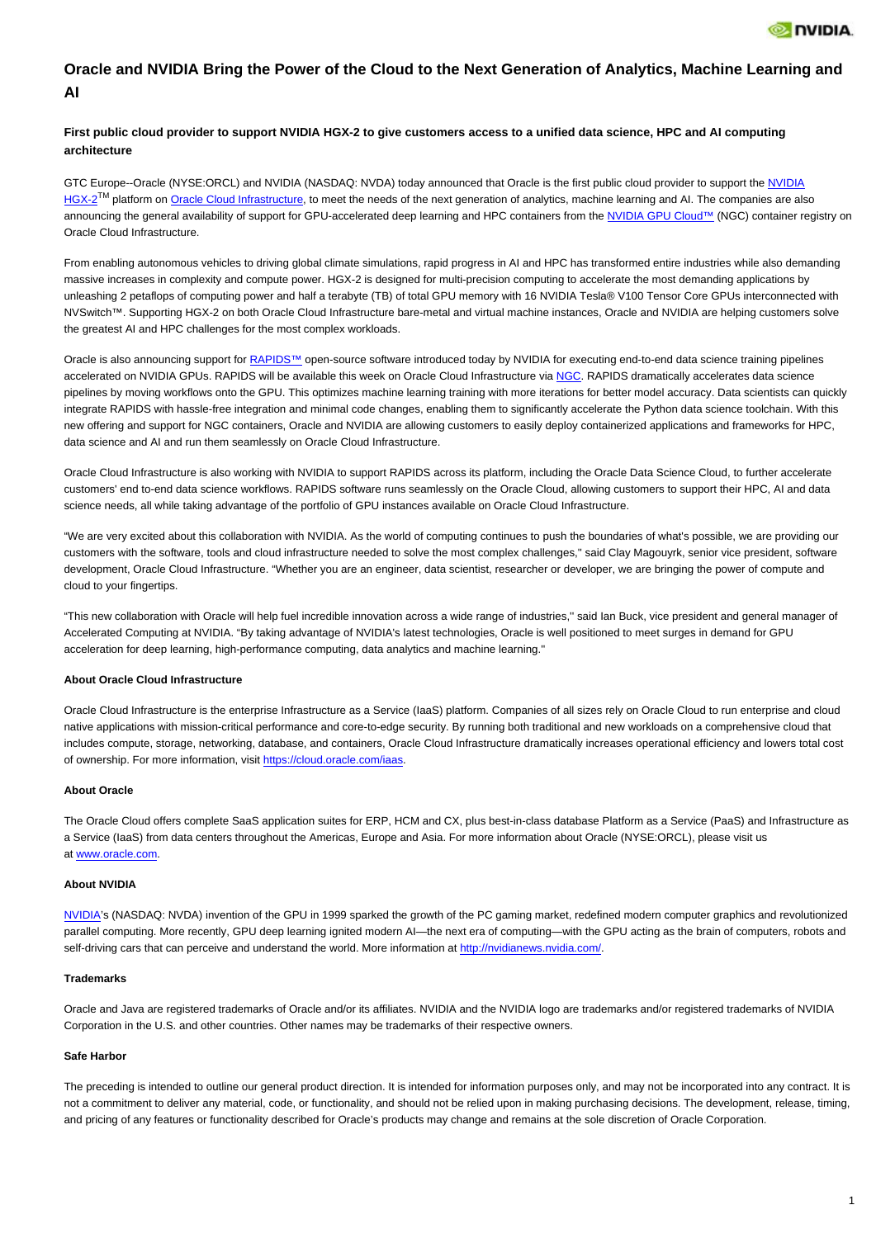

# **Oracle and NVIDIA Bring the Power of the Cloud to the Next Generation of Analytics, Machine Learning and AI**

## **First public cloud provider to support NVIDIA HGX-2 to give customers access to a unified data science, HPC and AI computing architecture**

GTC Europe--Oracle (NYSE:ORCL) and NVIDIA (NASDAQ: NVDA) today announced that Oracle is the first public cloud provider to support the [NVIDIA](https://www.nvidia.com/en-us/data-center/hgx/)  $HGX-2<sup>TM</sup>$  $HGX-2<sup>TM</sup>$  platform on [Oracle Cloud Infrastructure](https://cloud.oracle.com/iaas), to meet the needs of the next generation of analytics, machine learning and AI. The companies are also announcing the general availability of support for GPU-accelerated deep learning and HPC containers from the [NVIDIA GPU Cloud™](https://www.nvidia.com/en-us/gpu-cloud/) (NGC) container registry on Oracle Cloud Infrastructure.

From enabling autonomous vehicles to driving global climate simulations, rapid progress in AI and HPC has transformed entire industries while also demanding massive increases in complexity and compute power. HGX-2 is designed for multi-precision computing to accelerate the most demanding applications by unleashing 2 petaflops of computing power and half a terabyte (TB) of total GPU memory with 16 NVIDIA Tesla® V100 Tensor Core GPUs interconnected with NVSwitch™. Supporting HGX-2 on both Oracle Cloud Infrastructure bare-metal and virtual machine instances, Oracle and NVIDIA are helping customers solve the greatest AI and HPC challenges for the most complex workloads.

Oracle is also announcing support for [RAPIDS™](http://www.rapids.ai/) open-source software introduced today by NVIDIA for executing end-to-end data science training pipelines accelerated on NVIDIA GPUs. RAPIDS will be available this week on Oracle Cloud Infrastructure via [NGC.](http://ngc.nvidia.com/) RAPIDS dramatically accelerates data science pipelines by moving workflows onto the GPU. This optimizes machine learning training with more iterations for better model accuracy. Data scientists can quickly integrate RAPIDS with hassle-free integration and minimal code changes, enabling them to significantly accelerate the Python data science toolchain. With this new offering and support for NGC containers, Oracle and NVIDIA are allowing customers to easily deploy containerized applications and frameworks for HPC, data science and AI and run them seamlessly on Oracle Cloud Infrastructure.

Oracle Cloud Infrastructure is also working with NVIDIA to support RAPIDS across its platform, including the Oracle Data Science Cloud, to further accelerate customers' end to-end data science workflows. RAPIDS software runs seamlessly on the Oracle Cloud, allowing customers to support their HPC, AI and data science needs, all while taking advantage of the portfolio of GPU instances available on Oracle Cloud Infrastructure.

"We are very excited about this collaboration with NVIDIA. As the world of computing continues to push the boundaries of what's possible, we are providing our customers with the software, tools and cloud infrastructure needed to solve the most complex challenges,'' said Clay Magouyrk, senior vice president, software development, Oracle Cloud Infrastructure. "Whether you are an engineer, data scientist, researcher or developer, we are bringing the power of compute and cloud to your fingertips.

"This new collaboration with Oracle will help fuel incredible innovation across a wide range of industries,'' said Ian Buck, vice president and general manager of Accelerated Computing at NVIDIA. "By taking advantage of NVIDIA's latest technologies, Oracle is well positioned to meet surges in demand for GPU acceleration for deep learning, high-performance computing, data analytics and machine learning.''

#### **About Oracle Cloud Infrastructure**

Oracle Cloud Infrastructure is the enterprise Infrastructure as a Service (IaaS) platform. Companies of all sizes rely on Oracle Cloud to run enterprise and cloud native applications with mission-critical performance and core-to-edge security. By running both traditional and new workloads on a comprehensive cloud that includes compute, storage, networking, database, and containers, Oracle Cloud Infrastructure dramatically increases operational efficiency and lowers total cost of ownership. For more information, visit <https://cloud.oracle.com/iaas>.

#### **About Oracle**

The Oracle Cloud offers complete SaaS application suites for ERP, HCM and CX, plus best-in-class database Platform as a Service (PaaS) and Infrastructure as a Service (IaaS) from data centers throughout the Americas, Europe and Asia. For more information about Oracle (NYSE:ORCL), please visit us at [www.oracle.com.](https://www.oracle.com/)

#### **About NVIDIA**

[NVIDIA'](http://www.nvidia.com/#source=pr)s (NASDAQ: NVDA) invention of the GPU in 1999 sparked the growth of the PC gaming market, redefined modern computer graphics and revolutionized parallel computing. More recently, GPU deep learning ignited modern AI—the next era of computing—with the GPU acting as the brain of computers, robots and self-driving cars that can perceive and understand the world. More information at [http://nvidianews.nvidia.com/.](http://nvidianews.nvidia.com/#source=pr)

#### **Trademarks**

Oracle and Java are registered trademarks of Oracle and/or its affiliates. NVIDIA and the NVIDIA logo are trademarks and/or registered trademarks of NVIDIA Corporation in the U.S. and other countries. Other names may be trademarks of their respective owners.

#### **Safe Harbor**

The preceding is intended to outline our general product direction. It is intended for information purposes only, and may not be incorporated into any contract. It is not a commitment to deliver any material, code, or functionality, and should not be relied upon in making purchasing decisions. The development, release, timing, and pricing of any features or functionality described for Oracle's products may change and remains at the sole discretion of Oracle Corporation.